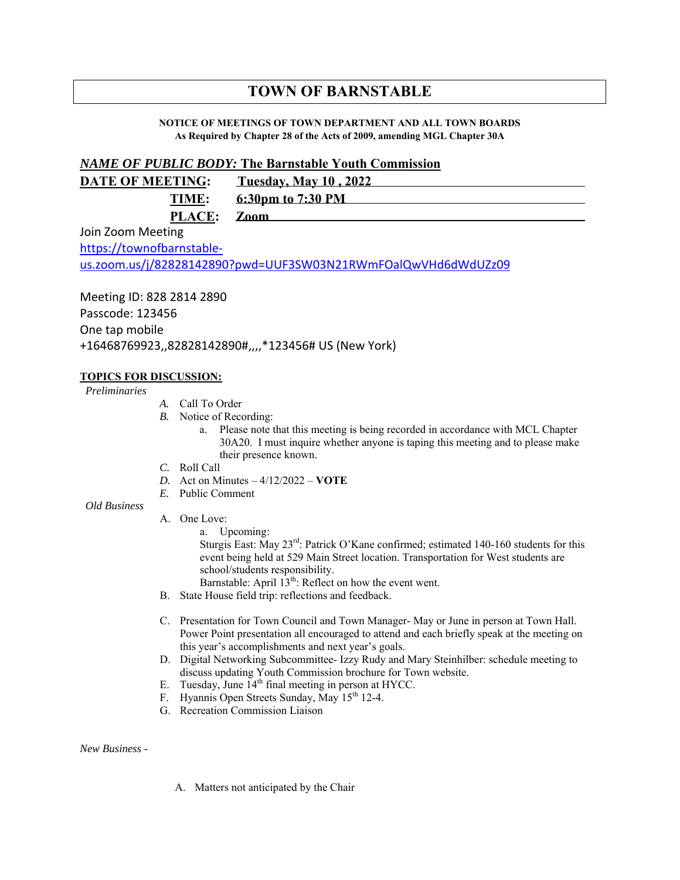# **TOWN OF BARNSTABLE**

#### **NOTICE OF MEETINGS OF TOWN DEPARTMENT AND ALL TOWN BOARDS As Required by Chapter 28 of the Acts of 2009, amending MGL Chapter 30A**

## *NAME OF PUBLIC BODY:* **The Barnstable Youth Commission**

| <b>DATE OF MEETING:</b> | <b>Tuesday, May 10, 2022</b> |
|-------------------------|------------------------------|
| TIME:                   | 6:30pm to 7:30 PM            |
| PLACE: Zoom             |                              |

Join Zoom Meeting https://townofbarnstableus.zoom.us/j/82828142890?pwd=UUF3SW03N21RWmFOalQwVHd6dWdUZz09

Meeting ID: 828 2814 2890 Passcode: 123456 One tap mobile +16468769923,,82828142890#,,,,\*123456# US (New York)

### **TOPICS FOR DISCUSSION:**

*Preliminaries*

- *A.* Call To Order
- *B.* Notice of Recording:
	- a. Please note that this meeting is being recorded in accordance with MCL Chapter 30A20. I must inquire whether anyone is taping this meeting and to please make their presence known.
- *C.* Roll Call
- *D.* Act on Minutes 4/12/2022 **VOTE**
- *E.* Public Comment

*Old Business*

- A. One Love:
	- a. Upcoming:

Sturgis East: May 23rd: Patrick O'Kane confirmed; estimated 140-160 students for this event being held at 529 Main Street location. Transportation for West students are school/students responsibility.

Barnstable: April  $13<sup>th</sup>$ : Reflect on how the event went.

- B. State House field trip: reflections and feedback.
- C. Presentation for Town Council and Town Manager- May or June in person at Town Hall. Power Point presentation all encouraged to attend and each briefly speak at the meeting on this year's accomplishments and next year's goals.
- D. Digital Networking Subcommittee- Izzy Rudy and Mary Steinhilber: schedule meeting to discuss updating Youth Commission brochure for Town website.
- E. Tuesday, June  $14<sup>th</sup>$  final meeting in person at HYCC.
- F. Hyannis Open Streets Sunday, May 15<sup>th</sup> 12-4.
- G. Recreation Commission Liaison

*New Business* -

A. Matters not anticipated by the Chair